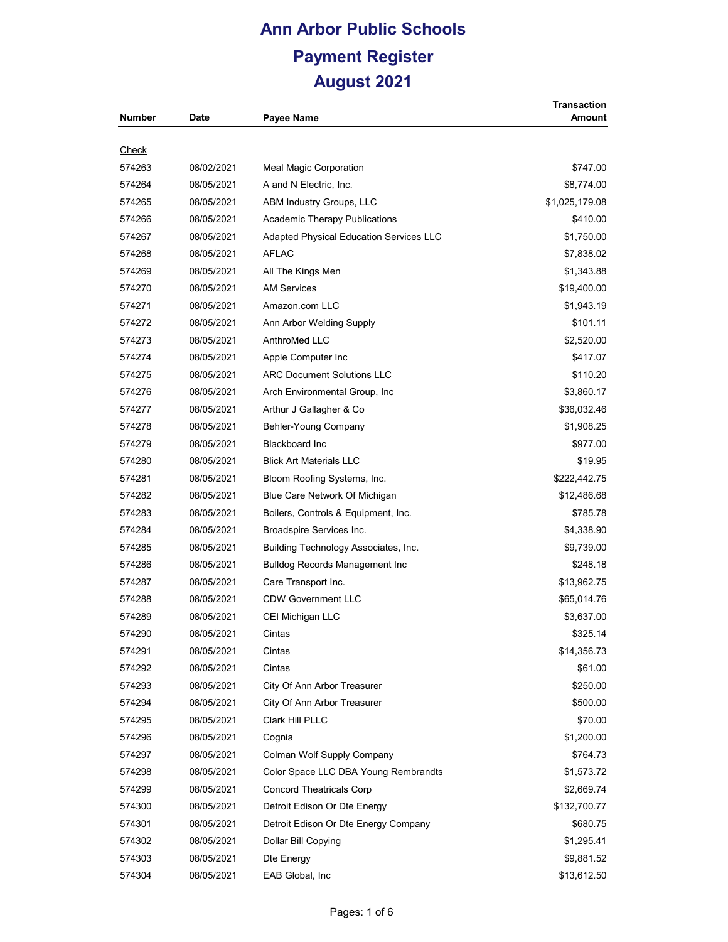| Number       | <b>Date</b> | Payee Name                              | <b>Transaction</b><br>Amount |
|--------------|-------------|-----------------------------------------|------------------------------|
|              |             |                                         |                              |
| <b>Check</b> |             |                                         |                              |
| 574263       | 08/02/2021  | Meal Magic Corporation                  | \$747.00                     |
| 574264       | 08/05/2021  | A and N Electric, Inc.                  | \$8,774.00                   |
| 574265       | 08/05/2021  | ABM Industry Groups, LLC                | \$1,025,179.08               |
| 574266       | 08/05/2021  | <b>Academic Therapy Publications</b>    | \$410.00                     |
| 574267       | 08/05/2021  | Adapted Physical Education Services LLC | \$1,750.00                   |
| 574268       | 08/05/2021  | <b>AFLAC</b>                            | \$7,838.02                   |
| 574269       | 08/05/2021  | All The Kings Men                       | \$1,343.88                   |
| 574270       | 08/05/2021  | <b>AM Services</b>                      | \$19,400.00                  |
| 574271       | 08/05/2021  | Amazon.com LLC                          | \$1,943.19                   |
| 574272       | 08/05/2021  | Ann Arbor Welding Supply                | \$101.11                     |
| 574273       | 08/05/2021  | AnthroMed LLC                           | \$2,520.00                   |
| 574274       | 08/05/2021  | Apple Computer Inc                      | \$417.07                     |
| 574275       | 08/05/2021  | <b>ARC Document Solutions LLC</b>       | \$110.20                     |
| 574276       | 08/05/2021  | Arch Environmental Group, Inc           | \$3,860.17                   |
| 574277       | 08/05/2021  | Arthur J Gallagher & Co                 | \$36,032.46                  |
| 574278       | 08/05/2021  | Behler-Young Company                    | \$1,908.25                   |
| 574279       | 08/05/2021  | <b>Blackboard Inc</b>                   | \$977.00                     |
| 574280       | 08/05/2021  | <b>Blick Art Materials LLC</b>          | \$19.95                      |
| 574281       | 08/05/2021  | Bloom Roofing Systems, Inc.             | \$222,442.75                 |
| 574282       | 08/05/2021  | Blue Care Network Of Michigan           | \$12,486.68                  |
| 574283       | 08/05/2021  | Boilers, Controls & Equipment, Inc.     | \$785.78                     |
| 574284       | 08/05/2021  | Broadspire Services Inc.                | \$4,338.90                   |
| 574285       | 08/05/2021  | Building Technology Associates, Inc.    | \$9,739.00                   |
| 574286       | 08/05/2021  | <b>Bulldog Records Management Inc</b>   | \$248.18                     |
| 574287       | 08/05/2021  | Care Transport Inc.                     | \$13,962.75                  |
| 574288       | 08/05/2021  | <b>CDW Government LLC</b>               | \$65,014.76                  |
| 574289       | 08/05/2021  | CEI Michigan LLC                        | \$3,637.00                   |
| 574290       | 08/05/2021  | Cintas                                  | \$325.14                     |
| 574291       | 08/05/2021  | Cintas                                  | \$14,356.73                  |
| 574292       | 08/05/2021  | Cintas                                  | \$61.00                      |
| 574293       | 08/05/2021  | City Of Ann Arbor Treasurer             | \$250.00                     |
| 574294       | 08/05/2021  | City Of Ann Arbor Treasurer             | \$500.00                     |
| 574295       | 08/05/2021  | Clark Hill PLLC                         | \$70.00                      |
| 574296       | 08/05/2021  | Cognia                                  | \$1,200.00                   |
| 574297       | 08/05/2021  | Colman Wolf Supply Company              | \$764.73                     |
| 574298       | 08/05/2021  | Color Space LLC DBA Young Rembrandts    | \$1,573.72                   |
| 574299       | 08/05/2021  | <b>Concord Theatricals Corp</b>         | \$2,669.74                   |
| 574300       | 08/05/2021  | Detroit Edison Or Dte Energy            | \$132,700.77                 |
| 574301       | 08/05/2021  | Detroit Edison Or Dte Energy Company    | \$680.75                     |
| 574302       | 08/05/2021  | Dollar Bill Copying                     | \$1,295.41                   |
| 574303       | 08/05/2021  | Dte Energy                              | \$9,881.52                   |
| 574304       | 08/05/2021  | EAB Global, Inc                         | \$13,612.50                  |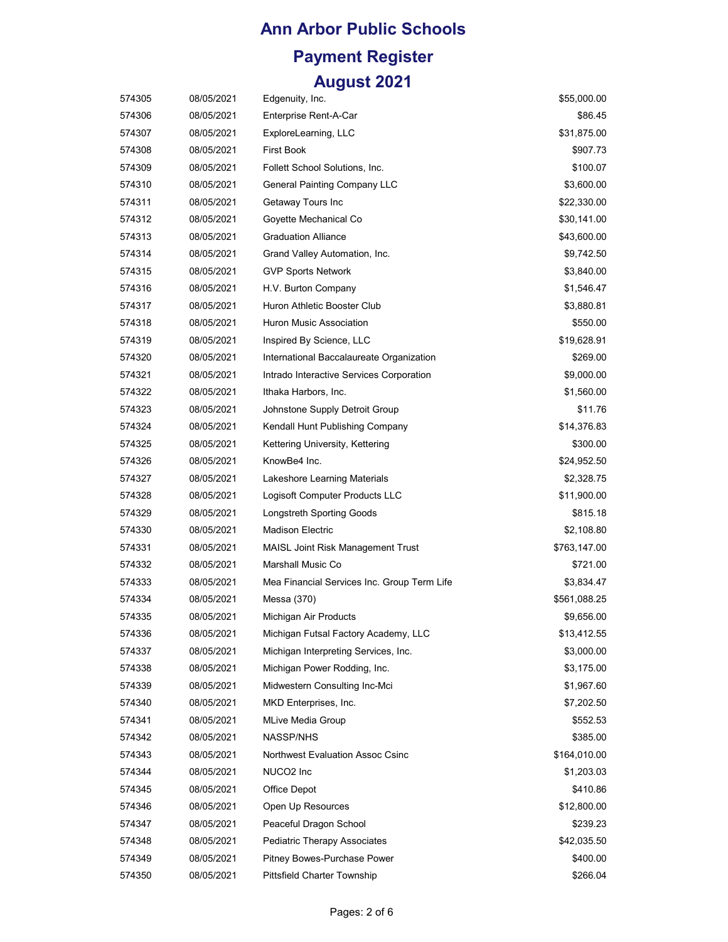| 574305 | 08/05/2021 | Edgenuity, Inc.                             | \$55,000.00  |
|--------|------------|---------------------------------------------|--------------|
| 574306 | 08/05/2021 | Enterprise Rent-A-Car                       | \$86.45      |
| 574307 | 08/05/2021 | ExploreLearning, LLC                        | \$31,875.00  |
| 574308 | 08/05/2021 | <b>First Book</b>                           | \$907.73     |
| 574309 | 08/05/2021 | Follett School Solutions, Inc.              | \$100.07     |
| 574310 | 08/05/2021 | <b>General Painting Company LLC</b>         | \$3,600.00   |
| 574311 | 08/05/2021 | Getaway Tours Inc                           | \$22,330.00  |
| 574312 | 08/05/2021 | Goyette Mechanical Co                       | \$30,141.00  |
| 574313 | 08/05/2021 | <b>Graduation Alliance</b>                  | \$43,600.00  |
| 574314 | 08/05/2021 | Grand Valley Automation, Inc.               | \$9,742.50   |
| 574315 | 08/05/2021 | <b>GVP Sports Network</b>                   | \$3,840.00   |
| 574316 | 08/05/2021 | H.V. Burton Company                         | \$1,546.47   |
| 574317 | 08/05/2021 | Huron Athletic Booster Club                 | \$3,880.81   |
| 574318 | 08/05/2021 | Huron Music Association                     | \$550.00     |
| 574319 | 08/05/2021 | Inspired By Science, LLC                    | \$19,628.91  |
| 574320 | 08/05/2021 | International Baccalaureate Organization    | \$269.00     |
| 574321 | 08/05/2021 | Intrado Interactive Services Corporation    | \$9,000.00   |
| 574322 | 08/05/2021 | Ithaka Harbors, Inc.                        | \$1,560.00   |
| 574323 | 08/05/2021 | Johnstone Supply Detroit Group              | \$11.76      |
| 574324 | 08/05/2021 | Kendall Hunt Publishing Company             | \$14,376.83  |
| 574325 | 08/05/2021 | Kettering University, Kettering             | \$300.00     |
| 574326 | 08/05/2021 | KnowBe4 Inc.                                | \$24,952.50  |
| 574327 | 08/05/2021 | Lakeshore Learning Materials                | \$2,328.75   |
| 574328 | 08/05/2021 | Logisoft Computer Products LLC              | \$11,900.00  |
| 574329 | 08/05/2021 | Longstreth Sporting Goods                   | \$815.18     |
| 574330 | 08/05/2021 | <b>Madison Electric</b>                     | \$2,108.80   |
| 574331 | 08/05/2021 | <b>MAISL Joint Risk Management Trust</b>    | \$763,147.00 |
| 574332 | 08/05/2021 | Marshall Music Co                           | \$721.00     |
| 574333 | 08/05/2021 | Mea Financial Services Inc. Group Term Life | \$3,834.47   |
| 574334 | 08/05/2021 | Messa (370)                                 | \$561,088.25 |
| 574335 | 08/05/2021 | Michigan Air Products                       | \$9,656.00   |
| 574336 | 08/05/2021 | Michigan Futsal Factory Academy, LLC        | \$13,412.55  |
| 574337 | 08/05/2021 | Michigan Interpreting Services, Inc.        | \$3,000.00   |
| 574338 | 08/05/2021 | Michigan Power Rodding, Inc.                | \$3,175.00   |
| 574339 | 08/05/2021 | Midwestern Consulting Inc-Mci               | \$1,967.60   |
| 574340 | 08/05/2021 | MKD Enterprises, Inc.                       | \$7,202.50   |
| 574341 | 08/05/2021 | <b>MLive Media Group</b>                    | \$552.53     |
| 574342 | 08/05/2021 | <b>NASSP/NHS</b>                            | \$385.00     |
| 574343 | 08/05/2021 | Northwest Evaluation Assoc Csinc            | \$164,010.00 |
| 574344 | 08/05/2021 | NUCO <sub>2</sub> Inc                       | \$1,203.03   |
| 574345 | 08/05/2021 | Office Depot                                | \$410.86     |
| 574346 | 08/05/2021 | Open Up Resources                           | \$12,800.00  |
| 574347 | 08/05/2021 | Peaceful Dragon School                      | \$239.23     |
| 574348 | 08/05/2021 | Pediatric Therapy Associates                | \$42,035.50  |
| 574349 | 08/05/2021 | Pitney Bowes-Purchase Power                 | \$400.00     |
| 574350 | 08/05/2021 | Pittsfield Charter Township                 | \$266.04     |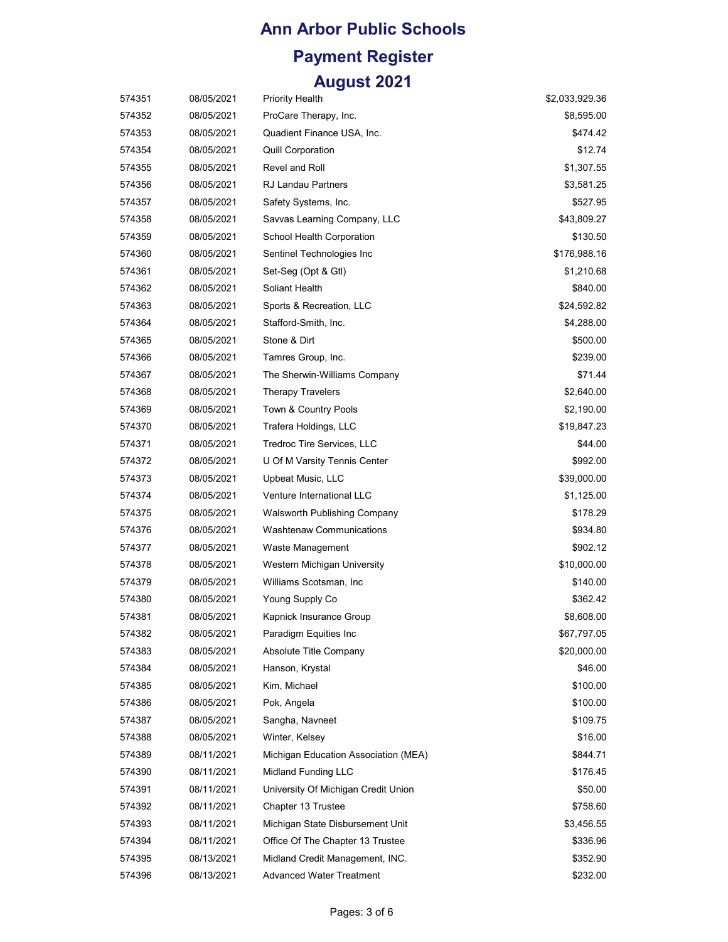| 574351 | 08/05/2021 | <b>Priority Health</b>               | \$2,033,929.36 |
|--------|------------|--------------------------------------|----------------|
| 574352 | 08/05/2021 | ProCare Therapy, Inc.                | \$8,595.00     |
| 574353 | 08/05/2021 | Quadient Finance USA, Inc.           | \$474.42       |
| 574354 | 08/05/2021 | <b>Quill Corporation</b>             | \$12.74        |
| 574355 | 08/05/2021 | Revel and Roll                       | \$1,307.55     |
| 574356 | 08/05/2021 | <b>RJ Landau Partners</b>            | \$3,581.25     |
| 574357 | 08/05/2021 | Safety Systems, Inc.                 | \$527.95       |
| 574358 | 08/05/2021 | Savvas Learning Company, LLC         | \$43,809.27    |
| 574359 | 08/05/2021 | School Health Corporation            | \$130.50       |
| 574360 | 08/05/2021 | Sentinel Technologies Inc            | \$176,988.16   |
| 574361 | 08/05/2021 | Set-Seg (Opt & Gtl)                  | \$1,210.68     |
| 574362 | 08/05/2021 | Soliant Health                       | \$840.00       |
| 574363 | 08/05/2021 | Sports & Recreation, LLC             | \$24,592.82    |
| 574364 | 08/05/2021 | Stafford-Smith, Inc.                 | \$4,288.00     |
| 574365 | 08/05/2021 | Stone & Dirt                         | \$500.00       |
| 574366 | 08/05/2021 | Tamres Group, Inc.                   | \$239.00       |
| 574367 | 08/05/2021 | The Sherwin-Williams Company         | \$71.44        |
| 574368 | 08/05/2021 | <b>Therapy Travelers</b>             | \$2,640.00     |
| 574369 | 08/05/2021 | Town & Country Pools                 | \$2,190.00     |
| 574370 | 08/05/2021 | Trafera Holdings, LLC                | \$19,847.23    |
| 574371 | 08/05/2021 | Tredroc Tire Services, LLC           | \$44.00        |
| 574372 | 08/05/2021 | U Of M Varsity Tennis Center         | \$992.00       |
| 574373 | 08/05/2021 | Upbeat Music, LLC                    | \$39,000.00    |
| 574374 | 08/05/2021 | Venture International LLC            | \$1,125.00     |
| 574375 | 08/05/2021 | Walsworth Publishing Company         | \$178.29       |
| 574376 | 08/05/2021 | <b>Washtenaw Communications</b>      | \$934.80       |
| 574377 | 08/05/2021 | Waste Management                     | \$902.12       |
| 574378 | 08/05/2021 | Western Michigan University          | \$10,000.00    |
| 574379 | 08/05/2021 | Williams Scotsman, Inc.              | \$140.00       |
| 574380 | 08/05/2021 | Young Supply Co                      | \$362.42       |
| 574381 | 08/05/2021 | Kapnick Insurance Group              | \$8,608.00     |
| 574382 | 08/05/2021 | Paradigm Equities Inc                | \$67,797.05    |
| 574383 | 08/05/2021 | Absolute Title Company               | \$20,000.00    |
| 574384 | 08/05/2021 | Hanson, Krystal                      | \$46.00        |
| 574385 | 08/05/2021 | Kim, Michael                         | \$100.00       |
| 574386 | 08/05/2021 | Pok, Angela                          | \$100.00       |
| 574387 | 08/05/2021 | Sangha, Navneet                      | \$109.75       |
| 574388 | 08/05/2021 | Winter, Kelsey                       | \$16.00        |
| 574389 | 08/11/2021 | Michigan Education Association (MEA) | \$844.71       |
| 574390 | 08/11/2021 | Midland Funding LLC                  | \$176.45       |
| 574391 | 08/11/2021 | University Of Michigan Credit Union  | \$50.00        |
| 574392 | 08/11/2021 | Chapter 13 Trustee                   | \$758.60       |
| 574393 | 08/11/2021 | Michigan State Disbursement Unit     | \$3,456.55     |
| 574394 | 08/11/2021 | Office Of The Chapter 13 Trustee     | \$336.96       |
| 574395 | 08/13/2021 | Midland Credit Management, INC.      | \$352.90       |
| 574396 | 08/13/2021 | <b>Advanced Water Treatment</b>      | \$232.00       |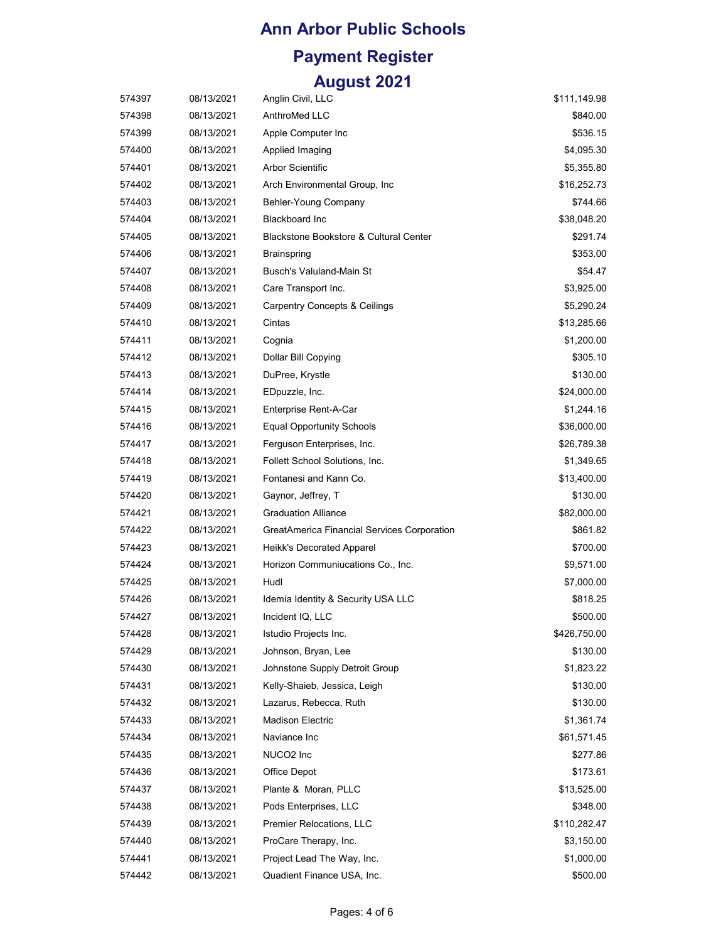| 574397 | 08/13/2021 | Anglin Civil, LLC                           | \$111,149.98 |
|--------|------------|---------------------------------------------|--------------|
| 574398 | 08/13/2021 | AnthroMed LLC                               | \$840.00     |
| 574399 | 08/13/2021 | Apple Computer Inc                          | \$536.15     |
| 574400 | 08/13/2021 | Applied Imaging                             | \$4,095.30   |
| 574401 | 08/13/2021 | <b>Arbor Scientific</b>                     | \$5,355.80   |
| 574402 | 08/13/2021 | Arch Environmental Group, Inc               | \$16,252.73  |
| 574403 | 08/13/2021 | Behler-Young Company                        | \$744.66     |
| 574404 | 08/13/2021 | <b>Blackboard Inc</b>                       | \$38,048.20  |
| 574405 | 08/13/2021 | Blackstone Bookstore & Cultural Center      | \$291.74     |
| 574406 | 08/13/2021 | <b>Brainspring</b>                          | \$353.00     |
| 574407 | 08/13/2021 | <b>Busch's Valuland-Main St</b>             | \$54.47      |
| 574408 | 08/13/2021 | Care Transport Inc.                         | \$3,925.00   |
| 574409 | 08/13/2021 | <b>Carpentry Concepts &amp; Ceilings</b>    | \$5,290.24   |
| 574410 | 08/13/2021 | Cintas                                      | \$13,285.66  |
| 574411 | 08/13/2021 | Cognia                                      | \$1,200.00   |
| 574412 | 08/13/2021 | Dollar Bill Copying                         | \$305.10     |
| 574413 | 08/13/2021 | DuPree, Krystle                             | \$130.00     |
| 574414 | 08/13/2021 | EDpuzzle, Inc.                              | \$24,000.00  |
| 574415 | 08/13/2021 | Enterprise Rent-A-Car                       | \$1,244.16   |
| 574416 | 08/13/2021 | <b>Equal Opportunity Schools</b>            | \$36,000.00  |
| 574417 | 08/13/2021 | Ferguson Enterprises, Inc.                  | \$26,789.38  |
| 574418 | 08/13/2021 | Follett School Solutions, Inc.              | \$1,349.65   |
| 574419 | 08/13/2021 | Fontanesi and Kann Co.                      | \$13,400.00  |
| 574420 | 08/13/2021 | Gaynor, Jeffrey, T                          | \$130.00     |
| 574421 | 08/13/2021 | <b>Graduation Alliance</b>                  | \$82,000.00  |
| 574422 | 08/13/2021 | GreatAmerica Financial Services Corporation | \$861.82     |
| 574423 | 08/13/2021 | Heikk's Decorated Apparel                   | \$700.00     |
| 574424 | 08/13/2021 | Horizon Communiucations Co., Inc.           | \$9,571.00   |
| 574425 | 08/13/2021 | Hudl                                        | \$7,000.00   |
| 574426 | 08/13/2021 | Idemia Identity & Security USA LLC          | \$818.25     |
| 574427 | 08/13/2021 | Incident IQ, LLC                            | \$500.00     |
| 574428 | 08/13/2021 | Istudio Projects Inc.                       | \$426,750.00 |
| 574429 | 08/13/2021 | Johnson, Bryan, Lee                         | \$130.00     |
| 574430 | 08/13/2021 | Johnstone Supply Detroit Group              | \$1,823.22   |
| 574431 | 08/13/2021 | Kelly-Shaieb, Jessica, Leigh                | \$130.00     |
| 574432 | 08/13/2021 | Lazarus, Rebecca, Ruth                      | \$130.00     |
| 574433 | 08/13/2021 | <b>Madison Electric</b>                     | \$1,361.74   |
| 574434 | 08/13/2021 | Naviance Inc                                | \$61,571.45  |
| 574435 | 08/13/2021 | NUCO <sub>2</sub> Inc                       | \$277.86     |
| 574436 | 08/13/2021 | Office Depot                                | \$173.61     |
| 574437 | 08/13/2021 | Plante & Moran, PLLC                        | \$13,525.00  |
| 574438 | 08/13/2021 | Pods Enterprises, LLC                       | \$348.00     |
| 574439 | 08/13/2021 | Premier Relocations, LLC                    | \$110,282.47 |
| 574440 | 08/13/2021 | ProCare Therapy, Inc.                       | \$3,150.00   |
| 574441 | 08/13/2021 | Project Lead The Way, Inc.                  | \$1,000.00   |
| 574442 | 08/13/2021 | Quadient Finance USA, Inc.                  | \$500.00     |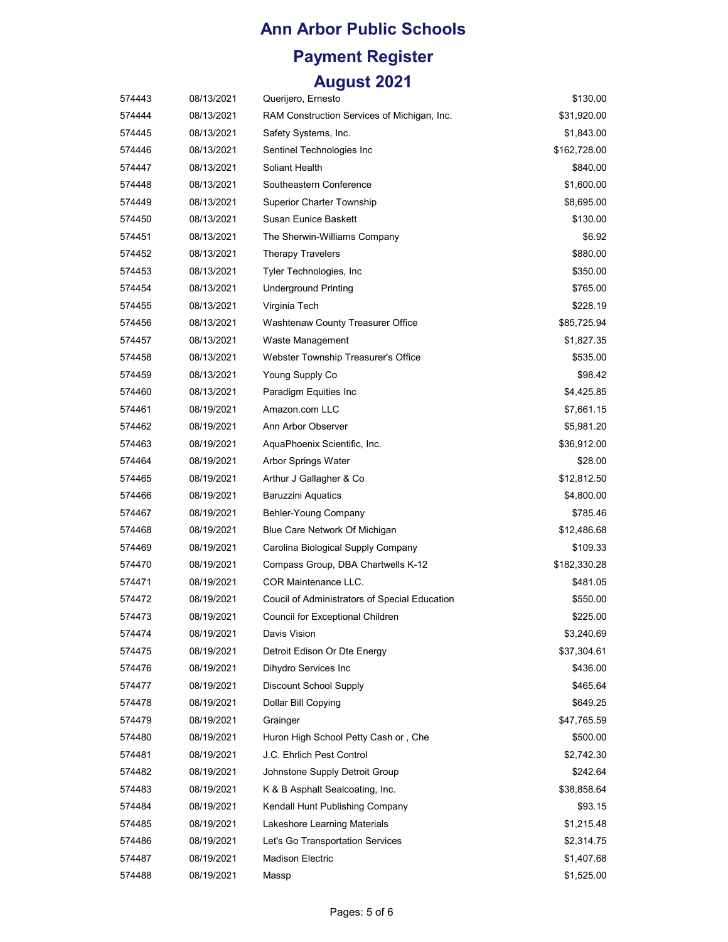#### **Ann Arbor Public Schools**

# **Payment Register**

#### **August 2021**

| 574443 | 08/13/2021 | Querijero, Ernesto                            | \$130.00     |
|--------|------------|-----------------------------------------------|--------------|
| 574444 | 08/13/2021 | RAM Construction Services of Michigan, Inc.   | \$31,920.00  |
| 574445 | 08/13/2021 | Safety Systems, Inc.                          | \$1,843.00   |
| 574446 | 08/13/2021 | Sentinel Technologies Inc                     | \$162,728.00 |
| 574447 | 08/13/2021 | Soliant Health                                | \$840.00     |
| 574448 | 08/13/2021 | Southeastern Conference                       | \$1,600.00   |
| 574449 | 08/13/2021 | Superior Charter Township                     | \$8,695.00   |
| 574450 | 08/13/2021 | Susan Eunice Baskett                          | \$130.00     |
| 574451 | 08/13/2021 | The Sherwin-Williams Company                  | \$6.92       |
| 574452 | 08/13/2021 | <b>Therapy Travelers</b>                      | \$880.00     |
| 574453 | 08/13/2021 | Tyler Technologies, Inc.                      | \$350.00     |
| 574454 | 08/13/2021 | <b>Underground Printing</b>                   | \$765.00     |
| 574455 | 08/13/2021 | Virginia Tech                                 | \$228.19     |
| 574456 | 08/13/2021 | Washtenaw County Treasurer Office             | \$85,725.94  |
| 574457 | 08/13/2021 | Waste Management                              | \$1,827.35   |
| 574458 | 08/13/2021 | Webster Township Treasurer's Office           | \$535.00     |
| 574459 | 08/13/2021 | Young Supply Co                               | \$98.42      |
| 574460 | 08/13/2021 | Paradigm Equities Inc                         | \$4,425.85   |
| 574461 | 08/19/2021 | Amazon.com LLC                                | \$7,661.15   |
| 574462 | 08/19/2021 | Ann Arbor Observer                            | \$5,981.20   |
| 574463 | 08/19/2021 | AquaPhoenix Scientific, Inc.                  | \$36,912.00  |
| 574464 | 08/19/2021 | Arbor Springs Water                           | \$28.00      |
| 574465 | 08/19/2021 | Arthur J Gallagher & Co                       | \$12,812.50  |
| 574466 | 08/19/2021 | <b>Baruzzini Aquatics</b>                     | \$4,800.00   |
| 574467 | 08/19/2021 | Behler-Young Company                          | \$785.46     |
| 574468 | 08/19/2021 | Blue Care Network Of Michigan                 | \$12,486.68  |
| 574469 | 08/19/2021 | Carolina Biological Supply Company            | \$109.33     |
| 574470 | 08/19/2021 | Compass Group, DBA Chartwells K-12            | \$182,330.28 |
| 574471 | 08/19/2021 | COR Maintenance LLC.                          | \$481.05     |
| 574472 | 08/19/2021 | Coucil of Administrators of Special Education | \$550.00     |
| 574473 | 08/19/2021 | Council for Exceptional Children              | \$225.00     |
| 574474 | 08/19/2021 | Davis Vision                                  | \$3,240.69   |
| 574475 | 08/19/2021 | Detroit Edison Or Dte Energy                  | \$37,304.61  |
| 574476 | 08/19/2021 | Dihydro Services Inc                          | \$436.00     |
| 574477 | 08/19/2021 | Discount School Supply                        | \$465.64     |
| 574478 | 08/19/2021 | Dollar Bill Copying                           | \$649.25     |
| 574479 | 08/19/2021 | Grainger                                      | \$47,765.59  |
| 574480 | 08/19/2021 | Huron High School Petty Cash or, Che          | \$500.00     |
| 574481 | 08/19/2021 | J.C. Ehrlich Pest Control                     | \$2,742.30   |
| 574482 | 08/19/2021 | Johnstone Supply Detroit Group                | \$242.64     |
| 574483 | 08/19/2021 | K & B Asphalt Sealcoating, Inc.               | \$38,858.64  |
| 574484 | 08/19/2021 | Kendall Hunt Publishing Company               | \$93.15      |
| 574485 | 08/19/2021 | Lakeshore Learning Materials                  | \$1,215.48   |
| 574486 | 08/19/2021 | Let's Go Transportation Services              | \$2,314.75   |
| 574487 | 08/19/2021 | <b>Madison Electric</b>                       | \$1,407.68   |
| 574488 | 08/19/2021 | Massp                                         | \$1,525.00   |